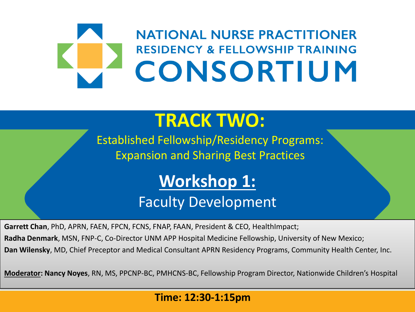## **NATIONAL NURSE PRACTITIONER RESIDENCY & FELLOWSHIP TRAINING** CONSORTIUM

### **TRACK TWO:**

Established Fellowship/Residency Programs: Expansion and Sharing Best Practices

### **Workshop 1:**

### Faculty Development

**Garrett Chan**, PhD, APRN, FAEN, FPCN, FCNS, FNAP, FAAN, President & CEO, HealthImpact;

**Radha Denmark**, MSN, FNP-C, Co-Director UNM APP Hospital Medicine Fellowship, University of New Mexico;

**Dan Wilensky**, MD, Chief Preceptor and Medical Consultant APRN Residency Programs, Community Health Center, Inc.

**Moderator: Nancy Noyes**, RN, MS, PPCNP-BC, PMHCNS-BC, Fellowship Program Director, Nationwide Children's Hospital

#### **Time: 12:30-1:15pm**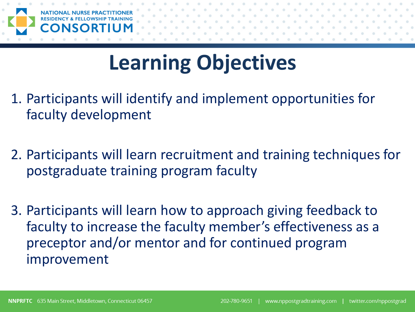

## **Learning Objectives**

- 1. Participants will identify and implement opportunities for faculty development
- 2. Participants will learn recruitment and training techniques for postgraduate training program faculty
- 3. Participants will learn how to approach giving feedback to faculty to increase the faculty member's effectiveness as a preceptor and/or mentor and for continued program improvement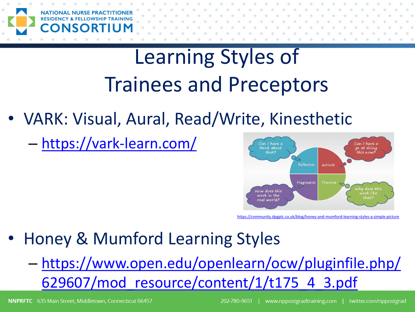

## Learning Styles of Trainees and Preceptors

- VARK: Visual, Aural, Read/Write, Kinesthetic
	- <https://vark-learn.com/>



<https://community.dpgplc.co.uk/blog/honey-and-mumford-learning-styles-a-simple-picture>

- Honey & Mumford Learning Styles
	- [https://www.open.edu/openlearn/ocw/pluginfile.php/](https://www.open.edu/openlearn/ocw/pluginfile.php/629607/mod_resource/content/1/t175_4_3.pdf) 629607/mod\_resource/content/1/t175\_4\_3.pdf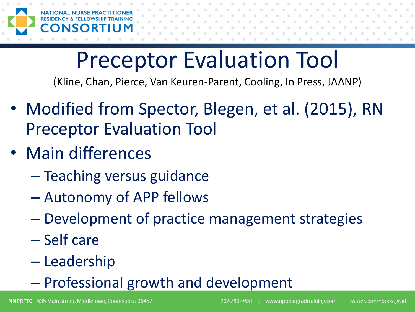

# Preceptor Evaluation Tool

(Kline, Chan, Pierce, Van Keuren-Parent, Cooling, In Press, JAANP)

- Modified from Spector, Blegen, et al. (2015), RN Preceptor Evaluation Tool
- Main differences
	- Teaching versus guidance
	- Autonomy of APP fellows
	- Development of practice management strategies
	- Self care
	- Leadership
	- Professional growth and development